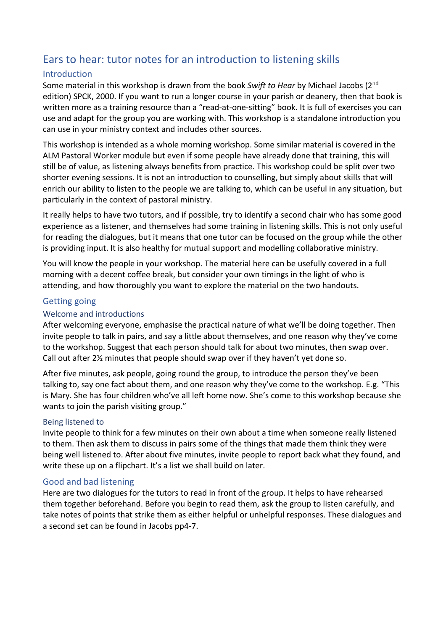# Ears to hear: tutor notes for an introduction to listening skills

# Introduction

Some material in this workshop is drawn from the book *Swift to Hear* by Michael Jacobs (2nd edition) SPCK, 2000. If you want to run a longer course in your parish or deanery, then that book is written more as a training resource than a "read-at-one-sitting" book. It is full of exercises you can use and adapt for the group you are working with. This workshop is a standalone introduction you can use in your ministry context and includes other sources.

This workshop is intended as a whole morning workshop. Some similar material is covered in the ALM Pastoral Worker module but even if some people have already done that training, this will still be of value, as listening always benefits from practice. This workshop could be split over two shorter evening sessions. It is not an introduction to counselling, but simply about skills that will enrich our ability to listen to the people we are talking to, which can be useful in any situation, but particularly in the context of pastoral ministry.

It really helps to have two tutors, and if possible, try to identify a second chair who has some good experience as a listener, and themselves had some training in listening skills. This is not only useful for reading the dialogues, but it means that one tutor can be focused on the group while the other is providing input. It is also healthy for mutual support and modelling collaborative ministry.

You will know the people in your workshop. The material here can be usefully covered in a full morning with a decent coffee break, but consider your own timings in the light of who is attending, and how thoroughly you want to explore the material on the two handouts.

# Getting going

## Welcome and introductions

After welcoming everyone, emphasise the practical nature of what we'll be doing together. Then invite people to talk in pairs, and say a little about themselves, and one reason why they've come to the workshop. Suggest that each person should talk for about two minutes, then swap over. Call out after 2½ minutes that people should swap over if they haven't yet done so.

After five minutes, ask people, going round the group, to introduce the person they've been talking to, say one fact about them, and one reason why they've come to the workshop. E.g. "This is Mary. She has four children who've all left home now. She's come to this workshop because she wants to join the parish visiting group."

## Being listened to

Invite people to think for a few minutes on their own about a time when someone really listened to them. Then ask them to discuss in pairs some of the things that made them think they were being well listened to. After about five minutes, invite people to report back what they found, and write these up on a flipchart. It's a list we shall build on later.

## Good and bad listening

Here are two dialogues for the tutors to read in front of the group. It helps to have rehearsed them together beforehand. Before you begin to read them, ask the group to listen carefully, and take notes of points that strike them as either helpful or unhelpful responses. These dialogues and a second set can be found in Jacobs pp4-7.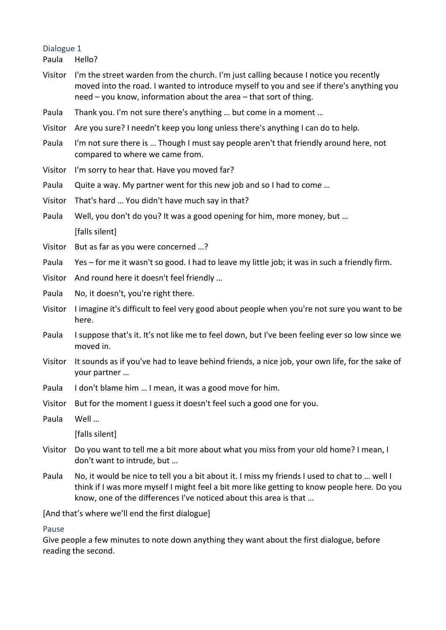### Dialogue 1

Paula Hello?

- Visitor I'm the street warden from the church. I'm just calling because I notice you recently moved into the road. I wanted to introduce myself to you and see if there's anything you need – you know, information about the area – that sort of thing.
- Paula Thank you. I'm not sure there's anything … but come in a moment …
- Visitor Are you sure? I needn't keep you long unless there's anything I can do to help.
- Paula I'm not sure there is ... Though I must say people aren't that friendly around here, not compared to where we came from.
- Visitor I'm sorry to hear that. Have you moved far?
- Paula Quite a way. My partner went for this new job and so I had to come ...
- Visitor That's hard … You didn't have much say in that?
- Paula Well, you don't do you? It was a good opening for him, more money, but ... [falls silent]
- Visitor But as far as you were concerned …?
- Paula Yes for me it wasn't so good. I had to leave my little job; it was in such a friendly firm.
- Visitor And round here it doesn't feel friendly …
- Paula No, it doesn't, you're right there.
- Visitor I imagine it's difficult to feel very good about people when you're not sure you want to be here.
- Paula I suppose that's it. It's not like me to feel down, but I've been feeling ever so low since we moved in.
- Visitor It sounds as if you've had to leave behind friends, a nice job, your own life, for the sake of your partner …
- Paula I don't blame him ... I mean, it was a good move for him.
- Visitor But for the moment I guess it doesn't feel such a good one for you.
- Paula Well …

[falls silent]

- Visitor Do you want to tell me a bit more about what you miss from your old home? I mean, I don't want to intrude, but …
- Paula No, it would be nice to tell you a bit about it. I miss my friends I used to chat to … well I think if I was more myself I might feel a bit more like getting to know people here. Do you know, one of the differences I've noticed about this area is that …

[And that's where we'll end the first dialogue]

Pause

Give people a few minutes to note down anything they want about the first dialogue, before reading the second.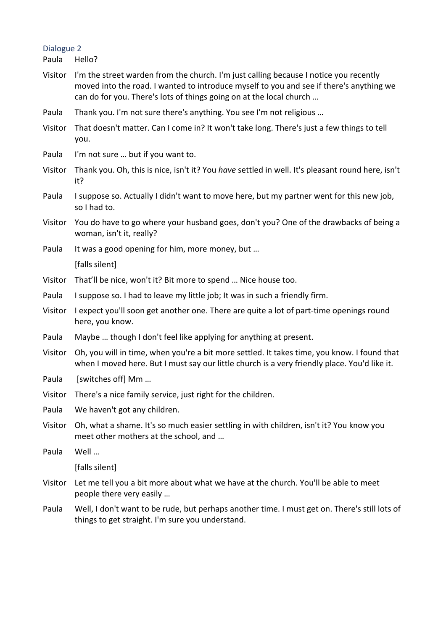#### Dialogue 2

Paula Hello?

- Visitor I'm the street warden from the church. I'm just calling because I notice you recently moved into the road. I wanted to introduce myself to you and see if there's anything we can do for you. There's lots of things going on at the local church …
- Paula Thank you. I'm not sure there's anything. You see I'm not religious …
- Visitor That doesn't matter. Can I come in? It won't take long. There's just a few things to tell you.
- Paula I'm not sure ... but if you want to.
- Visitor Thank you. Oh, this is nice, isn't it? You *have* settled in well. It's pleasant round here, isn't it?
- Paula I suppose so. Actually I didn't want to move here, but my partner went for this new job, so I had to.
- Visitor You do have to go where your husband goes, don't you? One of the drawbacks of being a woman, isn't it, really?
- Paula It was a good opening for him, more money, but ...

- Visitor That'll be nice, won't it? Bit more to spend … Nice house too.
- Paula I suppose so. I had to leave my little job; It was in such a friendly firm.
- Visitor I expect you'll soon get another one. There are quite a lot of part-time openings round here, you know.
- Paula Maybe … though I don't feel like applying for anything at present.
- Visitor Oh, you will in time, when you're a bit more settled. It takes time, you know. I found that when I moved here. But I must say our little church is a very friendly place. You'd like it.
- Paula [switches off] Mm …
- Visitor There's a nice family service, just right for the children.
- Paula We haven't got any children.
- Visitor Oh, what a shame. It's so much easier settling in with children, isn't it? You know you meet other mothers at the school, and …
- Paula Well …

[falls silent]

- Visitor Let me tell you a bit more about what we have at the church. You'll be able to meet people there very easily …
- Paula Well, I don't want to be rude, but perhaps another time. I must get on. There's still lots of things to get straight. I'm sure you understand.

<sup>[</sup>falls silent]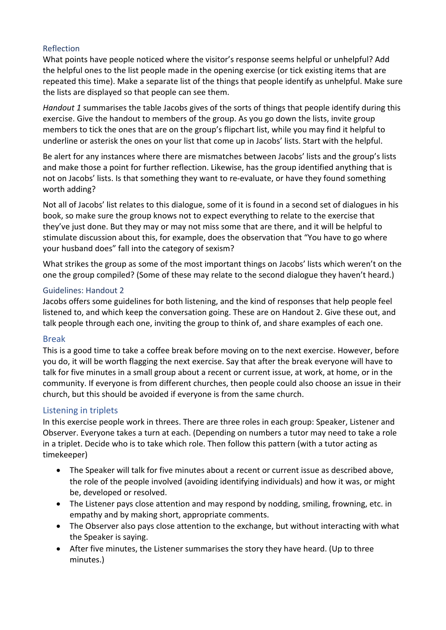# Reflection

What points have people noticed where the visitor's response seems helpful or unhelpful? Add the helpful ones to the list people made in the opening exercise (or tick existing items that are repeated this time). Make a separate list of the things that people identify as unhelpful. Make sure the lists are displayed so that people can see them.

*Handout 1* summarises the table Jacobs gives of the sorts of things that people identify during this exercise. Give the handout to members of the group. As you go down the lists, invite group members to tick the ones that are on the group's flipchart list, while you may find it helpful to underline or asterisk the ones on your list that come up in Jacobs' lists. Start with the helpful.

Be alert for any instances where there are mismatches between Jacobs' lists and the group's lists and make those a point for further reflection. Likewise, has the group identified anything that is not on Jacobs' lists. Is that something they want to re-evaluate, or have they found something worth adding?

Not all of Jacobs' list relates to this dialogue, some of it is found in a second set of dialogues in his book, so make sure the group knows not to expect everything to relate to the exercise that they've just done. But they may or may not miss some that are there, and it will be helpful to stimulate discussion about this, for example, does the observation that "You have to go where your husband does" fall into the category of sexism?

What strikes the group as some of the most important things on Jacobs' lists which weren't on the one the group compiled? (Some of these may relate to the second dialogue they haven't heard.)

## Guidelines: Handout 2

Jacobs offers some guidelines for both listening, and the kind of responses that help people feel listened to, and which keep the conversation going. These are on Handout 2. Give these out, and talk people through each one, inviting the group to think of, and share examples of each one.

## Break

This is a good time to take a coffee break before moving on to the next exercise. However, before you do, it will be worth flagging the next exercise. Say that after the break everyone will have to talk for five minutes in a small group about a recent or current issue, at work, at home, or in the community. If everyone is from different churches, then people could also choose an issue in their church, but this should be avoided if everyone is from the same church.

## Listening in triplets

In this exercise people work in threes. There are three roles in each group: Speaker, Listener and Observer. Everyone takes a turn at each. (Depending on numbers a tutor may need to take a role in a triplet. Decide who is to take which role. Then follow this pattern (with a tutor acting as timekeeper)

- The Speaker will talk for five minutes about a recent or current issue as described above, the role of the people involved (avoiding identifying individuals) and how it was, or might be, developed or resolved.
- The Listener pays close attention and may respond by nodding, smiling, frowning, etc. in empathy and by making short, appropriate comments.
- The Observer also pays close attention to the exchange, but without interacting with what the Speaker is saying.
- After five minutes, the Listener summarises the story they have heard. (Up to three minutes.)